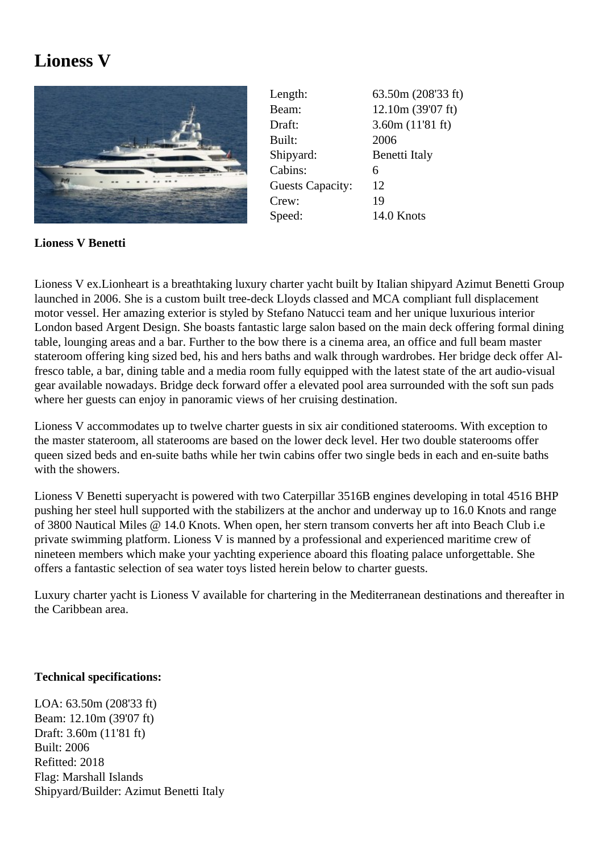## **Lioness V**



Length: 63.50m (208'33 ft) Beam: 12.10m (39'07 ft) Draft: 3.60m (11'81 ft) Built: 2006 Shipyard: Benetti Italy Cabins: 6 Guests Capacity: 12 Crew: 19 Speed: 14.0 Knots

## **Lioness V Benetti**

Lioness V ex.Lionheart is a breathtaking luxury charter yacht built by Italian shipyard Azimut Benetti Group launched in 2006. She is a custom built tree-deck Lloyds classed and MCA compliant full displacement motor vessel. Her amazing exterior is styled by Stefano Natucci team and her unique luxurious interior London based Argent Design. She boasts fantastic large salon based on the main deck offering formal dining table, lounging areas and a bar. Further to the bow there is a cinema area, an office and full beam master stateroom offering king sized bed, his and hers baths and walk through wardrobes. Her bridge deck offer Alfresco table, a bar, dining table and a media room fully equipped with the latest state of the art audio-visual gear available nowadays. Bridge deck forward offer a elevated pool area surrounded with the soft sun pads where her guests can enjoy in panoramic views of her cruising destination.

Lioness V accommodates up to twelve charter guests in six air conditioned staterooms. With exception to the master stateroom, all staterooms are based on the lower deck level. Her two double staterooms offer queen sized beds and en-suite baths while her twin cabins offer two single beds in each and en-suite baths with the showers.

Lioness V Benetti superyacht is powered with two Caterpillar 3516B engines developing in total 4516 BHP pushing her steel hull supported with the stabilizers at the anchor and underway up to 16.0 Knots and range of 3800 Nautical Miles @ 14.0 Knots. When open, her stern transom converts her aft into Beach Club i.e private swimming platform. Lioness V is manned by a professional and experienced maritime crew of nineteen members which make your yachting experience aboard this floating palace unforgettable. She offers a fantastic selection of sea water toys listed herein below to charter guests.

Luxury charter yacht is Lioness V available for chartering in the Mediterranean destinations and thereafter in the Caribbean area.

## **Technical specifications:**

LOA: 63.50m (208'33 ft) Beam: 12.10m (39'07 ft) Draft: 3.60m (11'81 ft) Built: 2006 Refitted: 2018 Flag: Marshall Islands Shipyard/Builder: Azimut Benetti Italy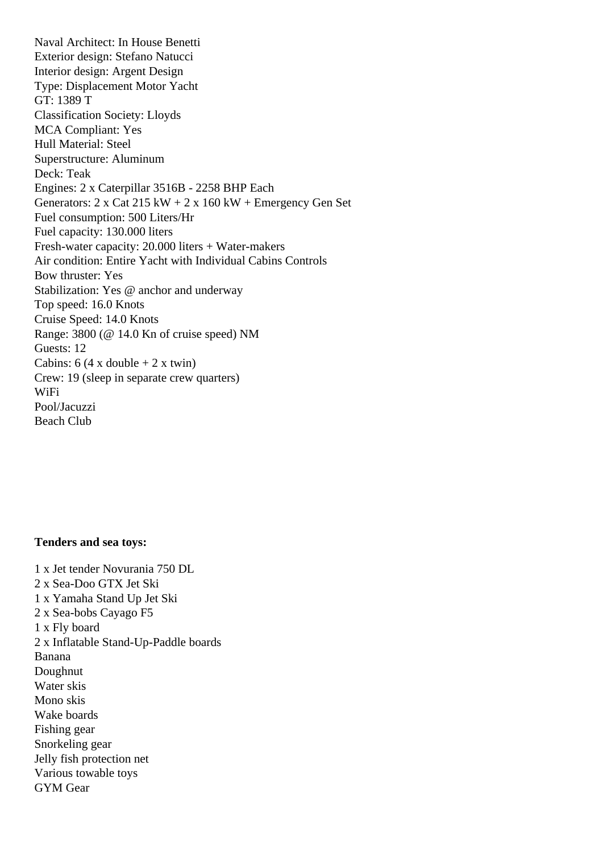Naval Architect: In House Benetti Exterior design: Stefano Natucci Interior design: Argent Design Type: Displacement Motor Yacht GT: 1389 T Classification Society: Lloyds MCA Compliant: Yes Hull Material: Steel Superstructure: Aluminum Deck: Teak Engines: 2 x Caterpillar 3516B - 2258 BHP Each Generators:  $2 \times$  Cat  $215$  kW +  $2 \times 160$  kW + Emergency Gen Set Fuel consumption: 500 Liters/Hr Fuel capacity: 130.000 liters Fresh-water capacity: 20.000 liters + Water-makers Air condition: Entire Yacht with Individual Cabins Controls Bow thruster: Yes Stabilization: Yes @ anchor and underway Top speed: 16.0 Knots Cruise Speed: 14.0 Knots Range: 3800 (@ 14.0 Kn of cruise speed) NM Guests: 12 Cabins:  $6(4 \times \text{double} + 2 \times \text{twin})$ Crew: 19 (sleep in separate crew quarters) WiFi Pool/Jacuzzi Beach Club

## **Tenders and sea toys:**

1 x Jet tender Novurania 750 DL 2 x Sea-Doo GTX Jet Ski 1 x Yamaha Stand Up Jet Ski 2 x Sea-bobs Cayago F5 1 x Fly board 2 x Inflatable Stand-Up-Paddle boards Banana Doughnut Water skis Mono skis Wake boards Fishing gear Snorkeling gear Jelly fish protection net Various towable toys GYM Gear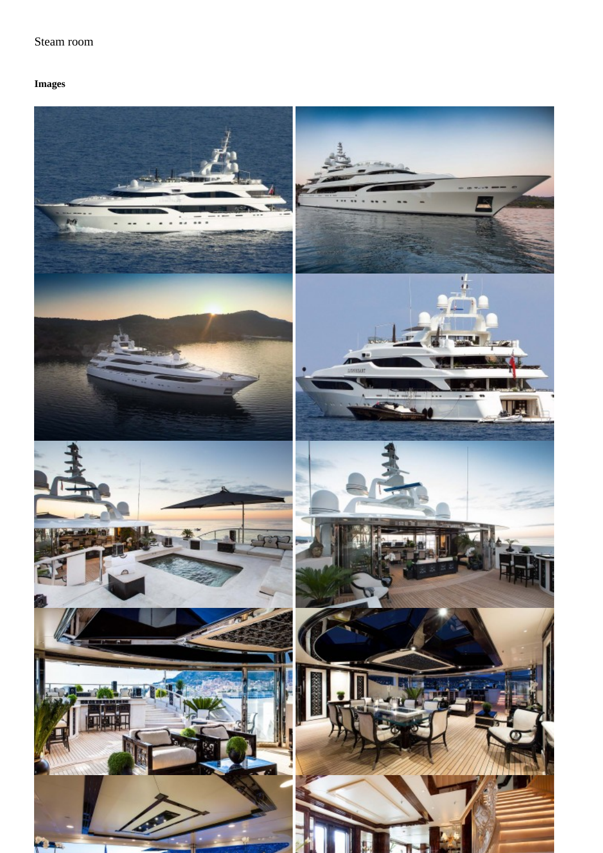Images